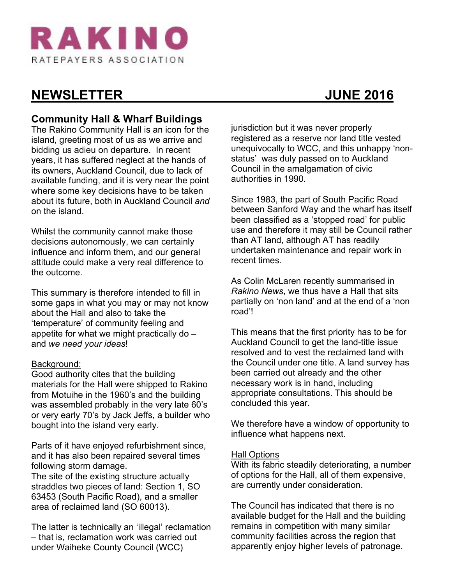

# **NEWSLETTER JUNE 2016**

#### **Community Hall & Wharf Buildings**

The Rakino Community Hall is an icon for the island, greeting most of us as we arrive and bidding us adieu on departure. In recent years, it has suffered neglect at the hands of its owners, Auckland Council, due to lack of available funding, and it is very near the point where some key decisions have to be taken about its future, both in Auckland Council *and* on the island.

Whilst the community cannot make those decisions autonomously, we can certainly influence and inform them, and our general attitude could make a very real difference to the outcome.

This summary is therefore intended to fill in some gaps in what you may or may not know about the Hall and also to take the 'temperature' of community feeling and appetite for what we might practically do – and *we need your ideas*!

#### Background:

Good authority cites that the building materials for the Hall were shipped to Rakino from Motuihe in the 1960's and the building was assembled probably in the very late 60's or very early 70's by Jack Jeffs, a builder who bought into the island very early.

Parts of it have enjoyed refurbishment since, and it has also been repaired several times following storm damage.

The site of the existing structure actually straddles two pieces of land: Section 1, SO 63453 (South Pacific Road), and a smaller area of reclaimed land (SO 60013).

The latter is technically an 'illegal' reclamation – that is, reclamation work was carried out under Waiheke County Council (WCC)

jurisdiction but it was never properly registered as a reserve nor land title vested unequivocally to WCC, and this unhappy 'nonstatus' was duly passed on to Auckland Council in the amalgamation of civic authorities in 1990.

Since 1983, the part of South Pacific Road between Sanford Way and the wharf has itself been classified as a 'stopped road' for public use and therefore it may still be Council rather than AT land, although AT has readily undertaken maintenance and repair work in recent times.

As Colin McLaren recently summarised in *Rakino News*, we thus have a Hall that sits partially on 'non land' and at the end of a 'non road'!

This means that the first priority has to be for Auckland Council to get the land-title issue resolved and to vest the reclaimed land with the Council under one title. A land survey has been carried out already and the other necessary work is in hand, including appropriate consultations. This should be concluded this year.

We therefore have a window of opportunity to influence what happens next.

#### Hall Options

With its fabric steadily deteriorating, a number of options for the Hall, all of them expensive, are currently under consideration.

The Council has indicated that there is no available budget for the Hall and the building remains in competition with many similar community facilities across the region that apparently enjoy higher levels of patronage.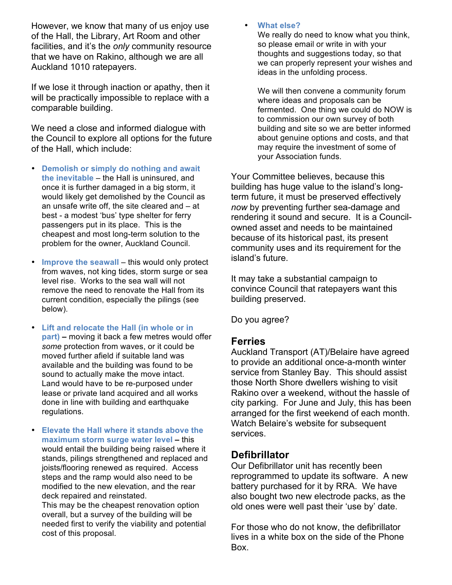However, we know that many of us enjoy use of the Hall, the Library, Art Room and other facilities, and it's the *only* community resource that we have on Rakino, although we are all Auckland 1010 ratepayers.

If we lose it through inaction or apathy, then it will be practically impossible to replace with a comparable building.

We need a close and informed dialogue with the Council to explore all options for the future of the Hall, which include:

- **Demolish or simply do nothing and await the inevitable** – the Hall is uninsured, and once it is further damaged in a big storm, it would likely get demolished by the Council as an unsafe write off, the site cleared and – at best - a modest 'bus' type shelter for ferry passengers put in its place. This is the cheapest and most long-term solution to the problem for the owner, Auckland Council.
- **Improve the seawall** this would only protect from waves, not king tides, storm surge or sea level rise. Works to the sea wall will not remove the need to renovate the Hall from its current condition, especially the pilings (see below).
- **Lift and relocate the Hall (in whole or in part) –** moving it back a few metres would offer *some* protection from waves, or it could be moved further afield if suitable land was available and the building was found to be sound to actually make the move intact. Land would have to be re-purposed under lease or private land acquired and all works done in line with building and earthquake regulations.
- **Elevate the Hall where it stands above the maximum storm surge water level –** this would entail the building being raised where it stands, pilings strengthened and replaced and joists/flooring renewed as required. Access steps and the ramp would also need to be modified to the new elevation, and the rear deck repaired and reinstated.

This may be the cheapest renovation option overall, but a survey of the building will be needed first to verify the viability and potential cost of this proposal.

#### • **What else?**

We really do need to know what you think, so please email or write in with your thoughts and suggestions today, so that we can properly represent your wishes and ideas in the unfolding process.

We will then convene a community forum where ideas and proposals can be fermented. One thing we could do NOW is to commission our own survey of both building and site so we are better informed about genuine options and costs, and that may require the investment of some of your Association funds.

Your Committee believes, because this building has huge value to the island's longterm future, it must be preserved effectively *now* by preventing further sea-damage and rendering it sound and secure. It is a Councilowned asset and needs to be maintained because of its historical past, its present community uses and its requirement for the island's future.

It may take a substantial campaign to convince Council that ratepayers want this building preserved.

Do you agree?

#### **Ferries**

Auckland Transport (AT)/Belaire have agreed to provide an additional once-a-month winter service from Stanley Bay. This should assist those North Shore dwellers wishing to visit Rakino over a weekend, without the hassle of city parking. For June and July, this has been arranged for the first weekend of each month. Watch Belaire's website for subsequent services.

#### **Defibrillator**

Our Defibrillator unit has recently been reprogrammed to update its software. A new battery purchased for it by RRA. We have also bought two new electrode packs, as the old ones were well past their 'use by' date.

For those who do not know, the defibrillator lives in a white box on the side of the Phone Box.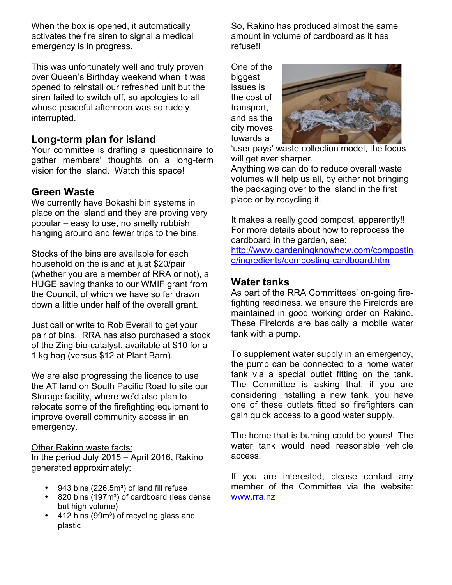When the box is opened, it automatically activates the fire siren to signal a medical emergency is in progress.

This was unfortunately well and truly proven over Queen's Birthday weekend when it was opened to reinstall our refreshed unit but the siren failed to switch off, so apologies to all whose peaceful afternoon was so rudely interrupted.

## **Long-term plan for island**

Your committee is drafting a questionnaire to gather members' thoughts on a long-term vision for the island. Watch this space!

# **Green Waste**

We currently have Bokashi bin systems in place on the island and they are proving very popular – easy to use, no smelly rubbish hanging around and fewer trips to the bins.

Stocks of the bins are available for each household on the island at just \$20/pair (whether you are a member of RRA or not), a HUGE saving thanks to our WMIF grant from the Council, of which we have so far drawn down a little under half of the overall grant.

Just call or write to Rob Everall to get your pair of bins. RRA has also purchased a stock of the Zing bio-catalyst, available at \$10 for a 1 kg bag (versus \$12 at Plant Barn).

We are also progressing the licence to use the AT land on South Pacific Road to site our Storage facility, where we'd also plan to relocate some of the firefighting equipment to improve overall community access in an emergency.

#### Other Rakino waste facts:

In the period July 2015 – April 2016, Rakino generated approximately:

- 943 bins (226.5m<sup>3</sup>) of land fill refuse
- 820 bins (197m<sup>3</sup>) of cardboard (less dense but high volume)
- 412 bins (99m<sup>3</sup>) of recycling glass and plastic

So, Rakino has produced almost the same amount in volume of cardboard as it has refuse!!

One of the biggest issues is the cost of transport, and as the city moves towards a



'user pays' waste collection model, the focus will get ever sharper.

Anything we can do to reduce overall waste volumes will help us all, by either not bringing the packaging over to the island in the first place or by recycling it.

It makes a really good compost, apparently!! For more details about how to reprocess the cardboard in the garden, see: http://www.gardeningknowhow.com/compostin

g/ingredients/composting-cardboard.htm

#### **Water tanks**

As part of the RRA Committees' on-going firefighting readiness, we ensure the Firelords are maintained in good working order on Rakino. These Firelords are basically a mobile water tank with a pump.

To supplement water supply in an emergency, the pump can be connected to a home water tank via a special outlet fitting on the tank. The Committee is asking that, if you are considering installing a new tank, you have one of these outlets fitted so firefighters can gain quick access to a good water supply.

The home that is burning could be yours! The water tank would need reasonable vehicle access.

If you are interested, please contact any member of the Committee via the website: www.rra.nz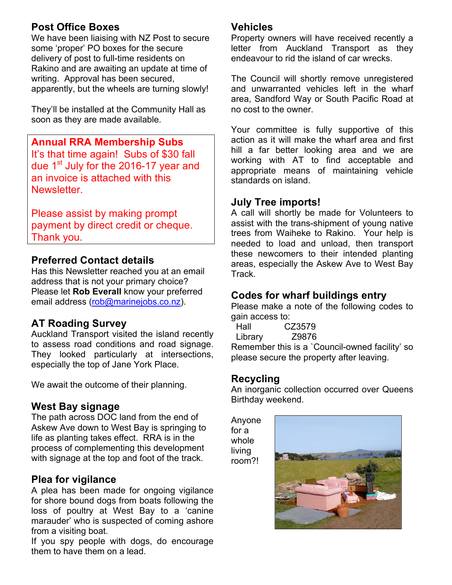## **Post Office Boxes**

We have been liaising with NZ Post to secure some 'proper' PO boxes for the secure delivery of post to full-time residents on Rakino and are awaiting an update at time of writing. Approval has been secured, apparently, but the wheels are turning slowly!

They'll be installed at the Community Hall as soon as they are made available.

**Annual RRA Membership Subs** It's that time again! Subs of \$30 fall due 1<sup>st</sup> July for the 2016-17 year and an invoice is attached with this Newsletter.

Please assist by making prompt payment by direct credit or cheque. Thank you.

## **Preferred Contact details**

Has this Newsletter reached you at an email address that is not your primary choice? Please let **Rob Everall** know your preferred email address (rob@marinejobs.co.nz).

## **AT Roading Survey**

Auckland Transport visited the island recently to assess road conditions and road signage. They looked particularly at intersections, especially the top of Jane York Place.

We await the outcome of their planning.

#### **West Bay signage**

The path across DOC land from the end of Askew Ave down to West Bay is springing to life as planting takes effect. RRA is in the process of complementing this development with signage at the top and foot of the track.

## **Plea for vigilance**

A plea has been made for ongoing vigilance for shore bound dogs from boats following the loss of poultry at West Bay to a 'canine marauder' who is suspected of coming ashore from a visiting boat.

If you spy people with dogs, do encourage them to have them on a lead.

#### **Vehicles**

Property owners will have received recently a letter from Auckland Transport as they endeavour to rid the island of car wrecks.

The Council will shortly remove unregistered and unwarranted vehicles left in the wharf area, Sandford Way or South Pacific Road at no cost to the owner.

Your committee is fully supportive of this action as it will make the wharf area and first hill a far better looking area and we are working with AT to find acceptable and appropriate means of maintaining vehicle standards on island.

#### **July Tree imports!**

A call will shortly be made for Volunteers to assist with the trans-shipment of young native trees from Waiheke to Rakino. Your help is needed to load and unload, then transport these newcomers to their intended planting areas, especially the Askew Ave to West Bay Track.

#### **Codes for wharf buildings entry**

Please make a note of the following codes to gain access to:

 Hall CZ3579 Library Z9876

Remember this is a `Council-owned facility' so please secure the property after leaving.

## **Recycling**

An inorganic collection occurred over Queens Birthday weekend.

Anyone for a whole living room?!